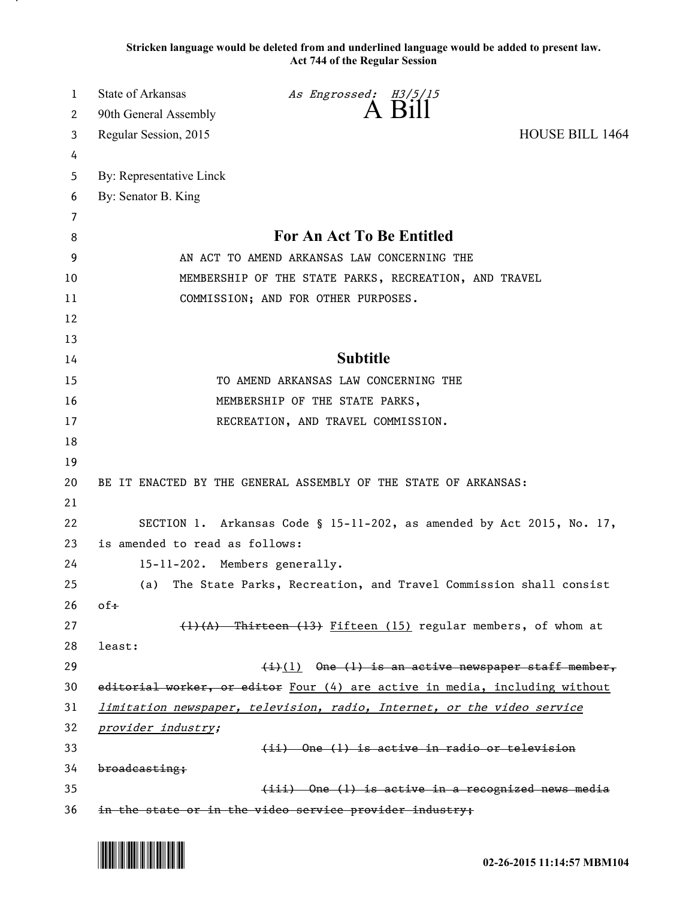**Stricken language would be deleted from and underlined language would be added to present law. Act 744 of the Regular Session**

| 1  | State of Arkansas                                               | As Engrossed: H3/5/15                                                       |                        |  |
|----|-----------------------------------------------------------------|-----------------------------------------------------------------------------|------------------------|--|
| 2  | 90th General Assembly                                           | A Bill                                                                      |                        |  |
| 3  | Regular Session, 2015                                           |                                                                             | <b>HOUSE BILL 1464</b> |  |
| 4  |                                                                 |                                                                             |                        |  |
| 5  | By: Representative Linck                                        |                                                                             |                        |  |
| 6  | By: Senator B. King                                             |                                                                             |                        |  |
| 7  |                                                                 |                                                                             |                        |  |
| 8  |                                                                 | For An Act To Be Entitled                                                   |                        |  |
| 9  | AN ACT TO AMEND ARKANSAS LAW CONCERNING THE                     |                                                                             |                        |  |
| 10 |                                                                 | MEMBERSHIP OF THE STATE PARKS, RECREATION, AND TRAVEL                       |                        |  |
| 11 |                                                                 | COMMISSION; AND FOR OTHER PURPOSES.                                         |                        |  |
| 12 |                                                                 |                                                                             |                        |  |
| 13 |                                                                 |                                                                             |                        |  |
| 14 |                                                                 | <b>Subtitle</b>                                                             |                        |  |
| 15 |                                                                 | TO AMEND ARKANSAS LAW CONCERNING THE                                        |                        |  |
| 16 |                                                                 | MEMBERSHIP OF THE STATE PARKS,                                              |                        |  |
| 17 |                                                                 | RECREATION, AND TRAVEL COMMISSION.                                          |                        |  |
| 18 |                                                                 |                                                                             |                        |  |
| 19 |                                                                 |                                                                             |                        |  |
| 20 | BE IT ENACTED BY THE GENERAL ASSEMBLY OF THE STATE OF ARKANSAS: |                                                                             |                        |  |
| 21 |                                                                 |                                                                             |                        |  |
| 22 |                                                                 | SECTION 1. Arkansas Code § 15-11-202, as amended by Act 2015, No. 17,       |                        |  |
| 23 | is amended to read as follows:                                  |                                                                             |                        |  |
| 24 | 15-11-202. Members generally.                                   |                                                                             |                        |  |
| 25 | (a)                                                             | The State Parks, Recreation, and Travel Commission shall consist            |                        |  |
| 26 | $of$ $\ddagger$                                                 |                                                                             |                        |  |
| 27 |                                                                 | (1)(A) Thirteen (13) Fifteen (15) regular members, of whom at               |                        |  |
| 28 | least:                                                          |                                                                             |                        |  |
| 29 |                                                                 | $(i)$ (1) One (1) is an active newspaper staff member,                      |                        |  |
| 30 |                                                                 | editorial worker, or editor Four (4) are active in media, including without |                        |  |
| 31 |                                                                 | limitation newspaper, television, radio, Internet, or the video service     |                        |  |
| 32 | provider industry;                                              |                                                                             |                        |  |
| 33 |                                                                 | (ii) One (1) is active in radio or television                               |                        |  |
| 34 | broadcasting;                                                   |                                                                             |                        |  |
| 35 |                                                                 | (iii) One (1) is active in a recognized news media                          |                        |  |
| 36 |                                                                 | in the state or in the video service provider industry;                     |                        |  |



.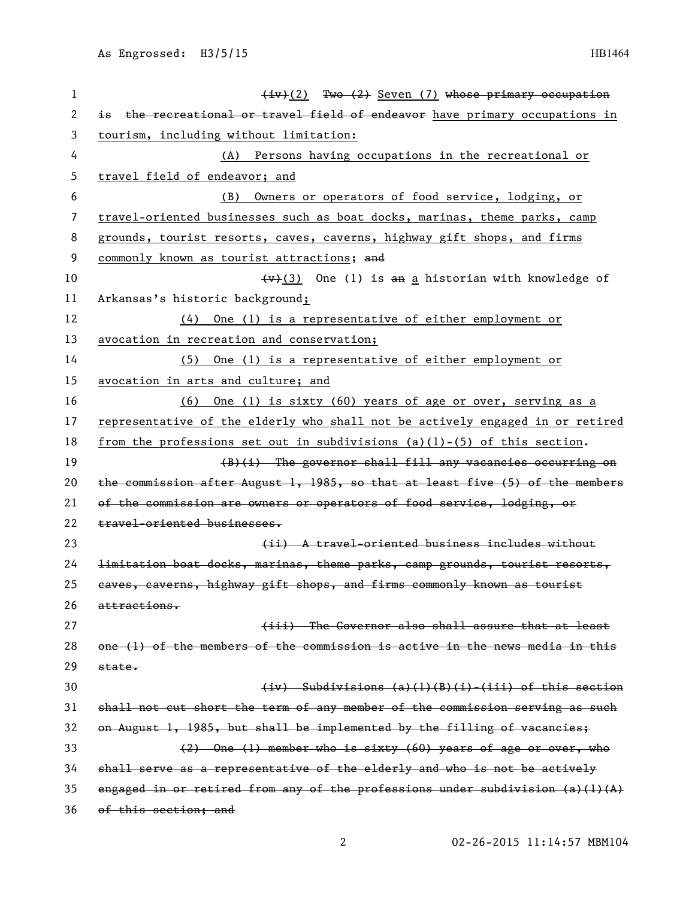| 1  | $(iv)(2)$ Two $(2)$ Seven (7) whose primary occupation                           |
|----|----------------------------------------------------------------------------------|
| 2  | is the recreational or travel field of endeavor have primary occupations in      |
| 3  | tourism, including without limitation:                                           |
| 4  | (A) Persons having occupations in the recreational or                            |
| 5  | travel field of endeavor; and                                                    |
| 6  | Owners or operators of food service, lodging, or<br>(B)                          |
| 7  | travel-oriented businesses such as boat docks, marinas, theme parks, camp        |
| 8  | grounds, tourist resorts, caves, caverns, highway gift shops, and firms          |
| 9  | commonly known as tourist attractions; and                                       |
| 10 | $\overline{(v)}(3)$ One (1) is an a historian with knowledge of                  |
| 11 | Arkansas's historic background;                                                  |
| 12 | One (1) is a representative of either employment or<br>(4)                       |
| 13 | avocation in recreation and conservation;                                        |
| 14 | One (1) is a representative of either employment or<br>(5)                       |
| 15 | avocation in arts and culture; and                                               |
| 16 | One (1) is sixty $(60)$ years of age or over, serving as a<br>(6)                |
| 17 | representative of the elderly who shall not be actively engaged in or retired    |
| 18 | from the professions set out in subdivisions $(a)(1)-(5)$ of this section.       |
| 19 | $(B)(i)$ The governor shall fill any vacancies occurring on                      |
| 20 | the commission after August 1, 1985, so that at least five (5) of the members    |
| 21 | of the commission are owners or operators of food service, lodging, or           |
| 22 | travel-oriented businesses.                                                      |
| 23 | (ii) A travel-oriented business includes without                                 |
| 24 | limitation boat docks, marinas, theme parks, camp grounds, tourist resorts,      |
| 25 | caves, caverns, highway gift shops, and firms commonly known as tourist          |
| 26 | attractions.                                                                     |
| 27 | (iii) The Governor also shall assure that at least                               |
| 28 | one (1) of the members of the commission is active in the news media in this     |
| 29 | state.                                                                           |
| 30 | $(iv)$ Subdivisions $(a)(1)(B)(i)-(iii)$ of this section                         |
| 31 | shall not cut short the term of any member of the commission serving as such     |
| 32 | on August 1, 1985, but shall be implemented by the filling of vacancies;         |
| 33 | (2) One (1) member who is sixty (60) years of age or over, who                   |
| 34 | shall serve as a representative of the elderly and who is not be actively        |
| 35 | engaged in or retired from any of the professions under subdivision $(a)$ (1)(A) |
| 36 | of this section; and                                                             |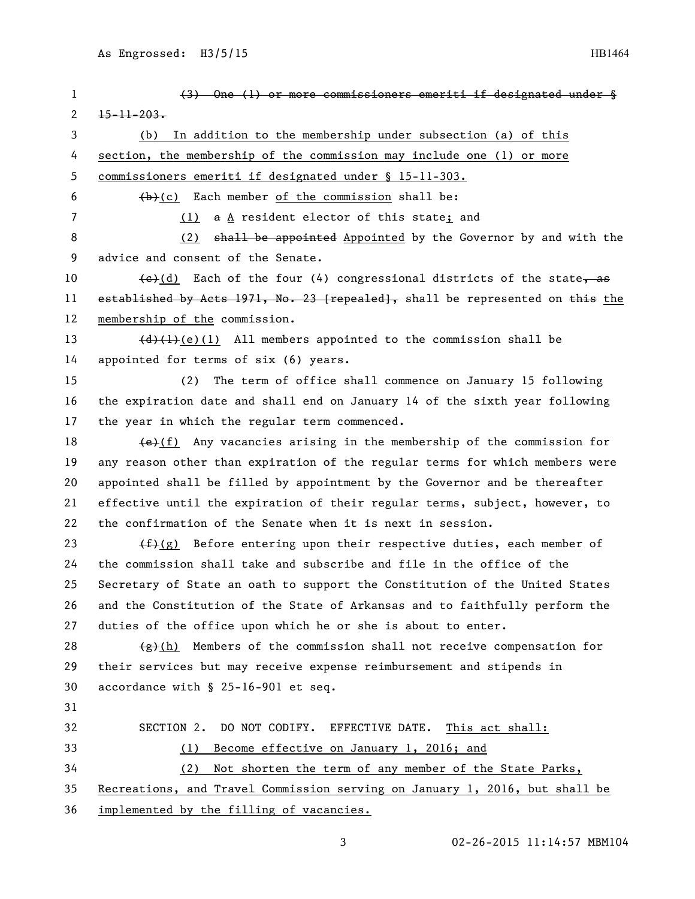| $\mathbf{1}$ | (3) One (1) or more commissioners emeriti if designated under §                          |  |
|--------------|------------------------------------------------------------------------------------------|--|
| 2            | $15 - 11 - 203$                                                                          |  |
| 3            | In addition to the membership under subsection (a) of this<br>(b)                        |  |
| 4            | section, the membership of the commission may include one (1) or more                    |  |
| 5            | commissioners emeriti if designated under § 15-11-303.                                   |  |
| 6            | $(b)$ (c) Each member of the commission shall be:                                        |  |
| 7            | a A resident elector of this state; and<br>(1)                                           |  |
| 8            | shall be appointed Appointed by the Governor by and with the<br>(2)                      |  |
| 9            | advice and consent of the Senate.                                                        |  |
| 10           | $\left(\frac{e}{d}\right)$ Each of the four (4) congressional districts of the state, as |  |
| 11           | established by Acts 1971, No. 23 [repealed], shall be represented on this the            |  |
| 12           | membership of the commission.                                                            |  |
| 13           | $\{\frac{d}{d}\}\{\frac{1}{e}(e)(1)\}$ All members appointed to the commission shall be  |  |
| 14           | appointed for terms of six (6) years.                                                    |  |
| 15           | The term of office shall commence on January 15 following<br>(2)                         |  |
| 16           | the expiration date and shall end on January 14 of the sixth year following              |  |
| 17           | the year in which the regular term commenced.                                            |  |
| 18           | $\left(\frac{e}{f}\right)$ Any vacancies arising in the membership of the commission for |  |
| 19           | any reason other than expiration of the regular terms for which members were             |  |
| 20           | appointed shall be filled by appointment by the Governor and be thereafter               |  |
| 21           | effective until the expiration of their regular terms, subject, however, to              |  |
| 22           | the confirmation of the Senate when it is next in session.                               |  |
| 23           | $(f+(g))$ Before entering upon their respective duties, each member of                   |  |
| 24           | the commission shall take and subscribe and file in the office of the                    |  |
| 25           | Secretary of State an oath to support the Constitution of the United States              |  |
| 26           | and the Constitution of the State of Arkansas and to faithfully perform the              |  |
| 27           | duties of the office upon which he or she is about to enter.                             |  |
| 28           | $\frac{f(x)}{g(h)}$ Members of the commission shall not receive compensation for         |  |
| 29           | their services but may receive expense reimbursement and stipends in                     |  |
| 30           | accordance with § 25-16-901 et seq.                                                      |  |
| 31           |                                                                                          |  |
| 32           | SECTION 2. DO NOT CODIFY. EFFECTIVE DATE.<br>This act shall:                             |  |
| 33           | Become effective on January 1, 2016; and<br>(1)                                          |  |
| 34           | Not shorten the term of any member of the State Parks,<br>(2)                            |  |
| 35           | Recreations, and Travel Commission serving on January 1, 2016, but shall be              |  |
| 36           | implemented by the filling of vacancies.                                                 |  |